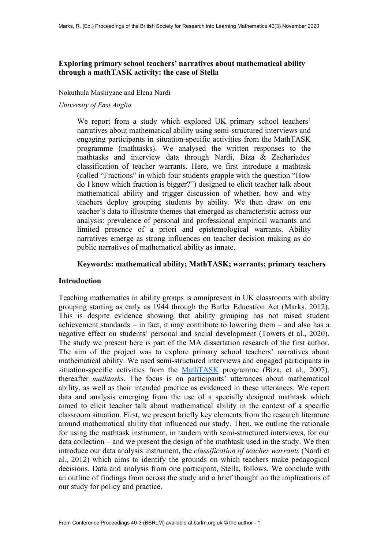# **Exploring primary school teachers' narratives about mathematical ability through a mathTASK activity: the case of Stella**

Nokuthula Mashiyane and Elena Nardi

*University of East Anglia*

We report from a study which explored UK primary school teachers' narratives about mathematical ability using semi-structured interviews and engaging participants in situation-specific activities from the MathTASK programme (mathtasks). We analysed the written responses to the mathtasks and interview data through Nardi, Biza & Zachariades' classification of teacher warrants. Here, we first introduce a mathtask (called "Fractions" in which four students grapple with the question "How do I know which fraction is bigger?") designed to elicit teacher talk about mathematical ability and trigger discussion of whether, how and why teachers deploy grouping students by ability. We then draw on one teacher's data to illustrate themes that emerged as characteristic across our analysis: prevalence of personal and professional empirical warrants and limited presence of a priori and epistemological warrants. Ability narratives emerge as strong influences on teacher decision making as do public narratives of mathematical ability as innate.

## **Keywords: mathematical ability; MathTASK; warrants; primary teachers**

## **Introduction**

Teaching mathematics in ability groups is omnipresent in UK classrooms with ability grouping starting as early as 1944 through the Butler Education Act (Marks, 2012). This is despite evidence showing that ability grouping has not raised student achievement standards – in fact, it may contribute to lowering them – and also has a negative effect on students' personal and social development (Towers et al., 2020). The study we present here is part of the MA dissertation research of the first author. The aim of the project was to explore primary school teachers' narratives about mathematical ability. We used semi-structured interviews and engaged participants in situation-specific activities from the [MathTASK](https://www.uea.ac.uk/groups-and-centres/a-z/mathtask) programme (Biza, et al., 2007), thereafter *mathtasks*. The focus is on participants' utterances about mathematical ability, as well as their intended practice as evidenced in these utterances. We report data and analysis emerging from the use of a specially designed mathtask which aimed to elicit teacher talk about mathematical ability in the context of a specific classroom situation. First, we present briefly key elements from the research literature around mathematical ability that influenced our study. Then, we outline the rationale for using the mathtask instrument, in tandem with semi-structured interviews, for our data collection – and we present the design of the mathtask used in the study. We then introduce our data analysis instrument, the *classification of teacher warrants* (Nardi et al., 2012) which aims to identify the grounds on which teachers make pedagogical decisions. Data and analysis from one participant, Stella, follows. We conclude with an outline of findings from across the study and a brief thought on the implications of our study for policy and practice.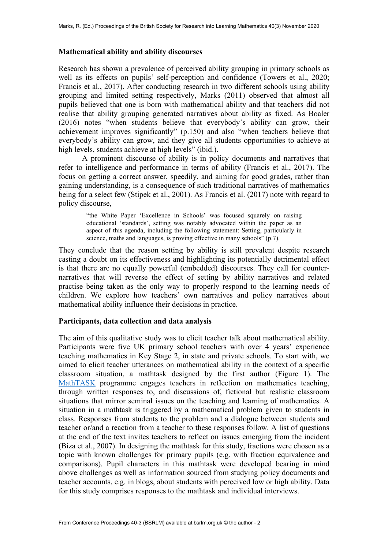### **Mathematical ability and ability discourses**

Research has shown a prevalence of perceived ability grouping in primary schools as well as its effects on pupils' self-perception and confidence (Towers et al., 2020; Francis et al., 2017). After conducting research in two different schools using ability grouping and limited setting respectively, Marks (2011) observed that almost all pupils believed that one is born with mathematical ability and that teachers did not realise that ability grouping generated narratives about ability as fixed. As Boaler (2016) notes "when students believe that everybody's ability can grow, their achievement improves significantly" (p.150) and also "when teachers believe that everybody's ability can grow, and they give all students opportunities to achieve at high levels, students achieve at high levels" (ibid.).

A prominent discourse of ability is in policy documents and narratives that refer to intelligence and performance in terms of ability (Francis et al., 2017). The focus on getting a correct answer, speedily, and aiming for good grades, rather than gaining understanding, is a consequence of such traditional narratives of mathematics being for a select few (Stipek et al., 2001). As Francis et al. (2017) note with regard to policy discourse,

> "the White Paper 'Excellence in Schools' was focused squarely on raising educational 'standards', setting was notably advocated within the paper as an aspect of this agenda, including the following statement: Setting, particularly in science, maths and languages, is proving effective in many schools" (p.7).

They conclude that the reason setting by ability is still prevalent despite research casting a doubt on its effectiveness and highlighting its potentially detrimental effect is that there are no equally powerful (embedded) discourses. They call for counternarratives that will reverse the effect of setting by ability narratives and related practise being taken as the only way to properly respond to the learning needs of children. We explore how teachers' own narratives and policy narratives about mathematical ability influence their decisions in practice.

### **Participants, data collection and data analysis**

The aim of this qualitative study was to elicit teacher talk about mathematical ability. Participants were five UK primary school teachers with over 4 years' experience teaching mathematics in Key Stage 2, in state and private schools. To start with, we aimed to elicit teacher utterances on mathematical ability in the context of a specific classroom situation, a mathtask designed by the first author (Figure 1). The [MathTASK](https://www.uea.ac.uk/groups-and-centres/a-z/mathtask) programme engages teachers in reflection on mathematics teaching, through written responses to, and discussions of, fictional but realistic classroom situations that mirror seminal issues on the teaching and learning of mathematics. A situation in a mathtask is triggered by a mathematical problem given to students in class. Responses from students to the problem and a dialogue between students and teacher or/and a reaction from a teacher to these responses follow. A list of questions at the end of the text invites teachers to reflect on issues emerging from the incident (Biza et al., 2007). In designing the mathtask for this study, fractions were chosen as a topic with known challenges for primary pupils (e.g. with fraction equivalence and comparisons). Pupil characters in this mathtask were developed bearing in mind above challenges as well as information sourced from studying policy documents and teacher accounts, e.g. in blogs, about students with perceived low or high ability. Data for this study comprises responses to the mathtask and individual interviews.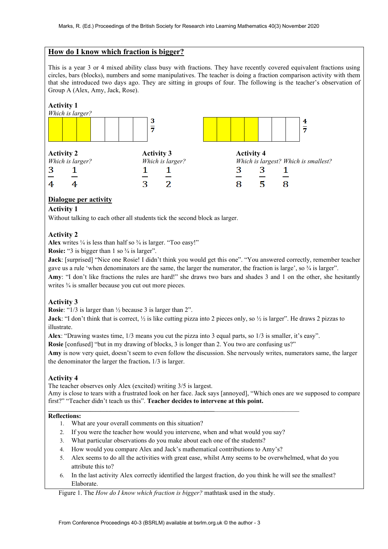## **How do I know which fraction is bigger?**

This is a year 3 or 4 mixed ability class busy with fractions. They have recently covered equivalent fractions using circles, bars (blocks), numbers and some manipulatives. The teacher is doing a fraction comparison activity with them that she introduced two days ago. They are sitting in groups of four. The following is the teacher's observation of Group A (Alex, Amy, Jack, Rose).



### **Dialogue per activity**

#### **Activity 1**

Without talking to each other all students tick the second block as larger.

### **Activity 2**

**Alex** writes  $\frac{1}{4}$  is less than half so  $\frac{3}{4}$  is larger. "Too easy!"

**Rosie:** "3 is bigger than 1 so  $\frac{3}{4}$  is larger".

**Jack**: [surprised] "Nice one Rosie! I didn't think you would get this one". "You answered correctly, remember teacher gave us a rule 'when denominators are the same, the larger the numerator, the fraction is large', so ¾ is larger".

**Amy**: "I don't like fractions the rules are hard!" she draws two bars and shades 3 and 1 on the other, she hesitantly writes  $\frac{3}{4}$  is smaller because you cut out more pieces.

#### **Activity 3**

**Rosie**: "1/3 is larger than ½ because 3 is larger than 2".

**Jack**: "I don't think that is correct,  $\frac{1}{2}$  is like cutting pizza into 2 pieces only, so  $\frac{1}{2}$  is larger". He draws 2 pizzas to illustrate.

**Alex**: "Drawing wastes time, 1/3 means you cut the pizza into 3 equal parts, so 1/3 is smaller, it's easy".

**Rosie** [confused] "but in my drawing of blocks, 3 is longer than 2. You two are confusing us?"

**Amy** is now very quiet, doesn't seem to even follow the discussion. She nervously writes, numerators same, the larger the denominator the larger the fraction**.** 1/3 is larger.

#### **Activity 4**

The teacher observes only Alex (excited) writing 3/5 is largest.

Amy is close to tears with a frustrated look on her face. Jack says [annoyed], "Which ones are we supposed to compare first?" "Teacher didn't teach us this". **Teacher decides to intervene at this point.**

#### **\_\_\_\_\_\_\_\_\_\_\_\_\_\_\_\_\_\_\_\_\_\_\_\_\_\_\_\_\_\_\_\_\_\_\_\_\_\_\_\_\_\_\_\_\_\_\_\_\_\_\_**\_\_\_\_\_\_\_\_\_\_\_\_\_\_\_\_\_\_\_\_\_\_\_\_\_\_ **Reflections:**

- 1. What are your overall comments on this situation?
- 2. If you were the teacher how would you intervene, when and what would you say?
- 3. What particular observations do you make about each one of the students?
- 4. How would you compare Alex and Jack's mathematical contributions to Amy's?
- 5. Alex seems to do all the activities with great ease, whilst Amy seems to be overwhelmed, what do you attribute this to?
- 6. In the last activity Alex correctly identified the largest fraction, do you think he will see the smallest? Elaborate.

Figure 1. The *How do I know which fraction is bigger?* mathtask used in the study.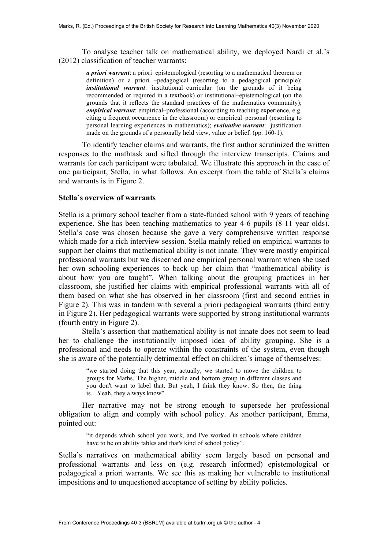To analyse teacher talk on mathematical ability, we deployed Nardi et al.'s (2012) classification of teacher warrants:

*a priori warrant*: a priori–epistemological (resorting to a mathematical theorem or definition) or a priori –pedagogical (resorting to a pedagogical principle); *institutional warrant*: institutional–curricular (on the grounds of it being recommended or required in a textbook) or institutional–epistemological (on the grounds that it reflects the standard practices of the mathematics community); *empirical warrant*: empirical–professional (according to teaching experience, e.g. citing a frequent occurrence in the classroom) or empirical–personal (resorting to personal learning experiences in mathematics); *evaluative warrant*: justification made on the grounds of a personally held view, value or belief. (pp. 160-1).

To identify teacher claims and warrants, the first author scrutinized the written responses to the mathtask and sifted through the interview transcripts. Claims and warrants for each participant were tabulated. We illustrate this approach in the case of one participant, Stella, in what follows. An excerpt from the table of Stella's claims and warrants is in Figure 2.

### **Stella's overview of warrants**

Stella is a primary school teacher from a state-funded school with 9 years of teaching experience. She has been teaching mathematics to year 4-6 pupils (8-11 year olds). Stella's case was chosen because she gave a very comprehensive written response which made for a rich interview session. Stella mainly relied on empirical warrants to support her claims that mathematical ability is not innate. They were mostly empirical professional warrants but we discerned one empirical personal warrant when she used her own schooling experiences to back up her claim that "mathematical ability is about how you are taught". When talking about the grouping practices in her classroom, she justified her claims with empirical professional warrants with all of them based on what she has observed in her classroom (first and second entries in Figure 2). This was in tandem with several a priori pedagogical warrants (third entry in Figure 2). Her pedagogical warrants were supported by strong institutional warrants (fourth entry in Figure 2).

Stella's assertion that mathematical ability is not innate does not seem to lead her to challenge the institutionally imposed idea of ability grouping. She is a professional and needs to operate within the constraints of the system, even though she is aware of the potentially detrimental effect on children's image of themselves:

> "we started doing that this year, actually, we started to move the children to groups for Maths. The higher, middle and bottom group in different classes and you don't want to label that. But yeah, I think they know. So then, the thing is…Yeah, they always know".

Her narrative may not be strong enough to supersede her professional obligation to align and comply with school policy. As another participant, Emma, pointed out:

"it depends which school you work, and I've worked in schools where children have to be on ability tables and that's kind of school policy".

Stella's narratives on mathematical ability seem largely based on personal and professional warrants and less on (e.g. research informed) epistemological or pedagogical a priori warrants. We see this as making her vulnerable to institutional impositions and to unquestioned acceptance of setting by ability policies.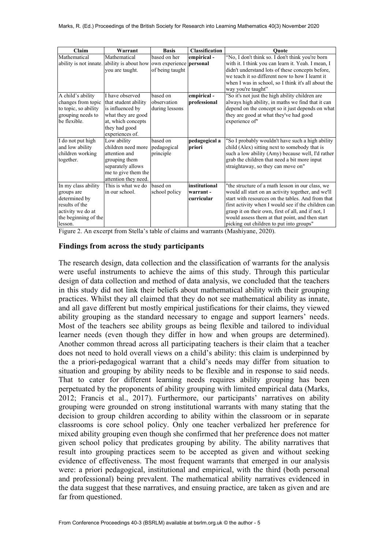| Claim                | Warrant                                                                    | <b>Basis</b>    | <b>Classification</b> | Ouote                                               |
|----------------------|----------------------------------------------------------------------------|-----------------|-----------------------|-----------------------------------------------------|
| Mathematical         | Mathematical                                                               | based on her    | empirical-            | "No, I don't think so. I don't think you're born    |
|                      | ability is not innate. ability is about how own experience <b>personal</b> |                 |                       | with it. I think you can learn it. Yeah. I mean, I  |
|                      | you are taught.                                                            | of being taught |                       | didn't understand lots of these concepts before,    |
|                      |                                                                            |                 |                       | we teach it so different now to how I learnt it     |
|                      |                                                                            |                 |                       | when I was in school, so I think it's all about the |
|                      |                                                                            |                 |                       | way you're taught"                                  |
| A child's ability    | I have observed                                                            | based on        | empirical-            | "So it's not just the high ability children are     |
| changes from topic   | that student ability                                                       | observation     | professional          | always high ability, in maths we find that it can   |
| to topic, so ability | is influenced by                                                           | during lessons  |                       | depend on the concept so it just depends on what    |
| grouping needs to    | what they are good                                                         |                 |                       | they are good at what they've had good              |
| be flexible.         | at, which concepts                                                         |                 |                       | experience of"                                      |
|                      | they had good                                                              |                 |                       |                                                     |
|                      | experiences of.                                                            |                 |                       |                                                     |
| I do not put high    | Low ability                                                                | based on        | pedagogical a         | "So I probably wouldn't have such a high ability    |
| and low ability      | children need more                                                         | pedagogical     | priori                | child (Alex) sitting next to somebody that is       |
| children working     | attention and                                                              | principle       |                       | such a low ability (Amy) because well, I'd rather   |
| together.            | grouping them                                                              |                 |                       | grab the children that need a bit more input        |
|                      | separately allows                                                          |                 |                       | straightaway, so they can move on"                  |
|                      | me to give them the                                                        |                 |                       |                                                     |
|                      | attention they need.                                                       |                 |                       |                                                     |
| In my class ability  | This is what we do                                                         | based on        | <b>linstitutional</b> | "the structure of a math lesson in our class, we    |
| groups are           | in our school.                                                             | school policy   | warrant-              | would all start on an activity together, and we'll  |
| determined by        |                                                                            |                 | curricular            | start with resources on the tables. And from that   |
| results of the       |                                                                            |                 |                       | first activity when I would see if the children can |
| activity we do at    |                                                                            |                 |                       | grasp it on their own, first of all, and if not, I  |
| the beginning of the |                                                                            |                 |                       | would assess them at that point, and then start     |
| lesson.              |                                                                            |                 |                       | picking out children to put into groups"            |

Figure 2. An excerpt from Stella's table of claims and warrants (Mashiyane, 2020).

### **Findings from across the study participants**

The research design, data collection and the classification of warrants for the analysis were useful instruments to achieve the aims of this study. Through this particular design of data collection and method of data analysis, we concluded that the teachers in this study did not link their beliefs about mathematical ability with their grouping practices. Whilst they all claimed that they do not see mathematical ability as innate, and all gave different but mostly empirical justifications for their claims, they viewed ability grouping as the standard necessary to engage and support learners' needs. Most of the teachers see ability groups as being flexible and tailored to individual learner needs (even though they differ in how and when groups are determined). Another common thread across all participating teachers is their claim that a teacher does not need to hold overall views on a child's ability: this claim is underpinned by the a priori-pedagogical warrant that a child's needs may differ from situation to situation and grouping by ability needs to be flexible and in response to said needs. That to cater for different learning needs requires ability grouping has been perpetuated by the proponents of ability grouping with limited empirical data (Marks, 2012; Francis et al., 2017). Furthermore, our participants' narratives on ability grouping were grounded on strong institutional warrants with many stating that the decision to group children according to ability within the classroom or in separate classrooms is core school policy. Only one teacher verbalized her preference for mixed ability grouping even though she confirmed that her preference does not matter given school policy that predicates grouping by ability. The ability narratives that result into grouping practices seem to be accepted as given and without seeking evidence of effectiveness. The most frequent warrants that emerged in our analysis were: a priori pedagogical, institutional and empirical, with the third (both personal and professional) being prevalent. The mathematical ability narratives evidenced in the data suggest that these narratives, and ensuing practice, are taken as given and are far from questioned.